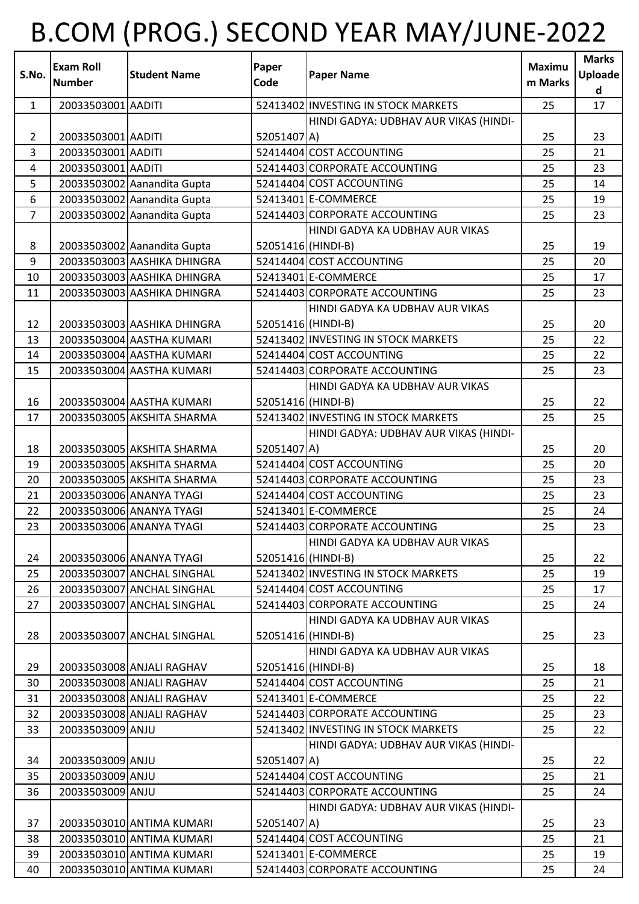## B.COM (PROG.) SECOND YEAR MAY/JUNE-2022

| S.No.          | <b>Exam Roll</b><br><b>Number</b> | <b>Student Name</b>         | Paper<br>Code      | <b>Paper Name</b>                     | Maximu<br>m Marks | <b>Marks</b><br><b>Uploade</b><br>d |
|----------------|-----------------------------------|-----------------------------|--------------------|---------------------------------------|-------------------|-------------------------------------|
| $\mathbf{1}$   | 20033503001 AADITI                |                             |                    | 52413402 INVESTING IN STOCK MARKETS   | 25                | 17                                  |
|                |                                   |                             |                    | HINDI GADYA: UDBHAV AUR VIKAS (HINDI- |                   |                                     |
| $\overline{2}$ | 20033503001 AADITI                |                             | 52051407 A)        |                                       | 25                | 23                                  |
| 3              | 20033503001 AADITI                |                             |                    | 52414404 COST ACCOUNTING              | 25                | 21                                  |
| $\overline{4}$ | 20033503001 AADITI                |                             |                    | 52414403 CORPORATE ACCOUNTING         | 25                | 23                                  |
| 5              |                                   | 20033503002 Aanandita Gupta |                    | 52414404 COST ACCOUNTING              | 25                | 14                                  |
| 6              |                                   | 20033503002 Aanandita Gupta |                    | 52413401 E-COMMERCE                   | 25                | 19                                  |
| $\overline{7}$ |                                   | 20033503002 Aanandita Gupta |                    | 52414403 CORPORATE ACCOUNTING         | 25                | 23                                  |
|                |                                   |                             |                    | HINDI GADYA KA UDBHAV AUR VIKAS       |                   |                                     |
| 8              |                                   | 20033503002 Aanandita Gupta | 52051416 (HINDI-B) |                                       | 25                | 19                                  |
| 9              |                                   | 20033503003 AASHIKA DHINGRA |                    | 52414404 COST ACCOUNTING              | 25                | 20                                  |
| 10             |                                   | 20033503003 AASHIKA DHINGRA |                    | 52413401 E-COMMERCE                   | 25                | 17                                  |
| 11             |                                   | 20033503003 AASHIKA DHINGRA |                    | 52414403 CORPORATE ACCOUNTING         | 25                | 23                                  |
|                |                                   |                             |                    | HINDI GADYA KA UDBHAV AUR VIKAS       |                   |                                     |
| 12             |                                   | 20033503003 AASHIKA DHINGRA | 52051416 (HINDI-B) |                                       | 25                | 20                                  |
| 13             |                                   | 20033503004 AASTHA KUMARI   |                    | 52413402 INVESTING IN STOCK MARKETS   | 25                | 22                                  |
| 14             |                                   | 20033503004 AASTHA KUMARI   |                    | 52414404 COST ACCOUNTING              | 25                | 22                                  |
| 15             |                                   | 20033503004 AASTHA KUMARI   |                    | 52414403 CORPORATE ACCOUNTING         | 25                | 23                                  |
|                |                                   |                             |                    | HINDI GADYA KA UDBHAV AUR VIKAS       |                   |                                     |
| 16             |                                   | 20033503004 AASTHA KUMARI   | 52051416 (HINDI-B) |                                       | 25                | 22                                  |
| 17             |                                   | 20033503005 AKSHITA SHARMA  |                    | 52413402 INVESTING IN STOCK MARKETS   | 25                | 25                                  |
|                |                                   |                             |                    | HINDI GADYA: UDBHAV AUR VIKAS (HINDI- |                   |                                     |
| 18             |                                   | 20033503005 AKSHITA SHARMA  | 52051407 A)        |                                       | 25                | 20                                  |
| 19             |                                   | 20033503005 AKSHITA SHARMA  |                    | 52414404 COST ACCOUNTING              | 25                | 20                                  |
| 20             |                                   | 20033503005 AKSHITA SHARMA  |                    | 52414403 CORPORATE ACCOUNTING         | 25                | 23                                  |
| 21             |                                   | 20033503006 ANANYA TYAGI    |                    | 52414404 COST ACCOUNTING              | 25                | 23                                  |
| 22             |                                   | 20033503006 ANANYA TYAGI    |                    | 52413401 E-COMMERCE                   | 25                | 24                                  |
| 23             |                                   | 20033503006 ANANYA TYAGI    |                    | 52414403 CORPORATE ACCOUNTING         | 25                | 23                                  |
|                |                                   |                             |                    | HINDI GADYA KA UDBHAV AUR VIKAS       |                   |                                     |
| 24             |                                   | 20033503006 ANANYA TYAGI    | 52051416 (HINDI-B) |                                       | 25                | 22                                  |
| 25             |                                   | 20033503007 ANCHAL SINGHAL  |                    | 52413402 INVESTING IN STOCK MARKETS   | 25                | 19                                  |
| 26             |                                   | 20033503007 ANCHAL SINGHAL  |                    | 52414404 COST ACCOUNTING              | 25                | 17                                  |
| 27             |                                   | 20033503007 ANCHAL SINGHAL  |                    | 52414403 CORPORATE ACCOUNTING         | 25                | 24                                  |
|                |                                   |                             |                    | HINDI GADYA KA UDBHAV AUR VIKAS       |                   |                                     |
| 28             |                                   | 20033503007 ANCHAL SINGHAL  | 52051416 (HINDI-B) |                                       | 25                | 23                                  |
|                |                                   |                             |                    | HINDI GADYA KA UDBHAV AUR VIKAS       |                   |                                     |
| 29             |                                   | 20033503008 ANJALI RAGHAV   | 52051416 (HINDI-B) |                                       | 25                | 18                                  |
| 30             |                                   | 20033503008 ANJALI RAGHAV   |                    | 52414404 COST ACCOUNTING              | 25                | 21                                  |
| 31             |                                   | 20033503008 ANJALI RAGHAV   |                    | 52413401 E-COMMERCE                   | 25                | 22                                  |
| 32             |                                   | 20033503008 ANJALI RAGHAV   |                    | 52414403 CORPORATE ACCOUNTING         | 25                | 23                                  |
| 33             | 20033503009 ANJU                  |                             |                    | 52413402 INVESTING IN STOCK MARKETS   | 25                | 22                                  |
|                |                                   |                             |                    | HINDI GADYA: UDBHAV AUR VIKAS (HINDI- |                   |                                     |
| 34             | 20033503009 ANJU                  |                             | 52051407 A)        |                                       | 25                | 22                                  |
| 35             | 20033503009 ANJU                  |                             |                    | 52414404 COST ACCOUNTING              | 25                | 21                                  |
| 36             | 20033503009 ANJU                  |                             |                    | 52414403 CORPORATE ACCOUNTING         | 25                | 24                                  |
|                |                                   |                             |                    | HINDI GADYA: UDBHAV AUR VIKAS (HINDI- |                   |                                     |
| 37             |                                   | 20033503010 ANTIMA KUMARI   | 52051407 A)        |                                       | 25                | 23                                  |
| 38             |                                   | 20033503010 ANTIMA KUMARI   |                    | 52414404 COST ACCOUNTING              | 25                | 21                                  |
| 39             |                                   | 20033503010 ANTIMA KUMARI   |                    | 52413401 E-COMMERCE                   | 25                | 19                                  |
| 40             |                                   | 20033503010 ANTIMA KUMARI   |                    | 52414403 CORPORATE ACCOUNTING         | 25                | 24                                  |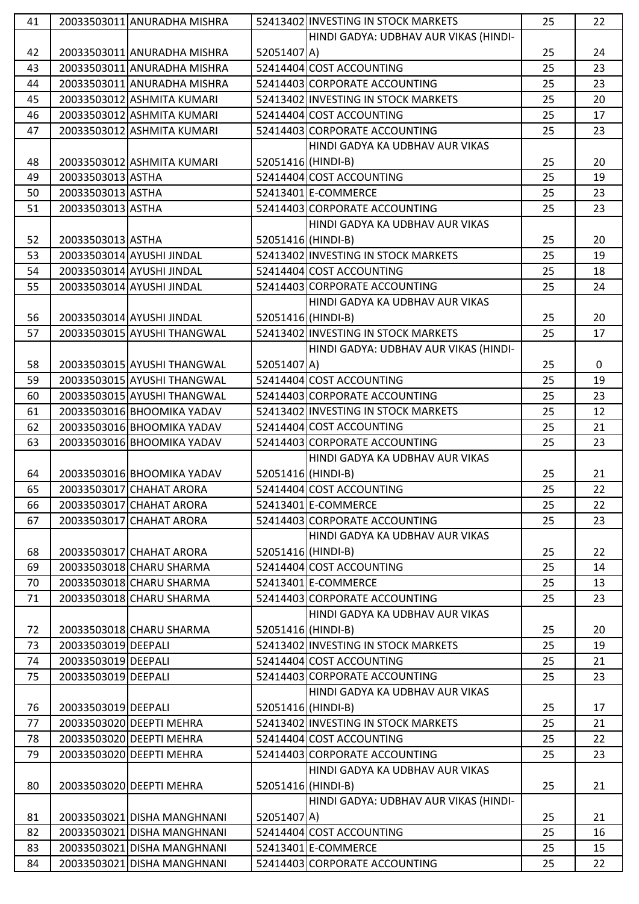| 41 |                     | 20033503011 ANURADHA MISHRA |                    | 52413402 INVESTING IN STOCK MARKETS   | 25 | 22          |
|----|---------------------|-----------------------------|--------------------|---------------------------------------|----|-------------|
|    |                     |                             |                    | HINDI GADYA: UDBHAV AUR VIKAS (HINDI- |    |             |
| 42 |                     | 20033503011 ANURADHA MISHRA | 52051407 A)        |                                       | 25 | 24          |
| 43 |                     | 20033503011 ANURADHA MISHRA |                    | 52414404 COST ACCOUNTING              | 25 | 23          |
| 44 |                     | 20033503011 ANURADHA MISHRA |                    | 52414403 CORPORATE ACCOUNTING         | 25 | 23          |
| 45 |                     | 20033503012 ASHMITA KUMARI  |                    | 52413402 INVESTING IN STOCK MARKETS   | 25 | 20          |
| 46 |                     | 20033503012 ASHMITA KUMARI  |                    | 52414404 COST ACCOUNTING              | 25 | 17          |
| 47 |                     | 20033503012 ASHMITA KUMARI  |                    | 52414403 CORPORATE ACCOUNTING         | 25 | 23          |
|    |                     |                             |                    | HINDI GADYA KA UDBHAV AUR VIKAS       |    |             |
| 48 |                     | 20033503012 ASHMITA KUMARI  | 52051416 (HINDI-B) |                                       | 25 | 20          |
| 49 | 20033503013 ASTHA   |                             |                    | 52414404 COST ACCOUNTING              | 25 | 19          |
| 50 | 20033503013 ASTHA   |                             |                    | 52413401 E-COMMERCE                   | 25 | 23          |
| 51 | 20033503013 ASTHA   |                             |                    | 52414403 CORPORATE ACCOUNTING         | 25 | 23          |
|    |                     |                             |                    | HINDI GADYA KA UDBHAV AUR VIKAS       |    |             |
| 52 | 20033503013 ASTHA   |                             | 52051416 (HINDI-B) |                                       | 25 | 20          |
| 53 |                     | 20033503014 AYUSHI JINDAL   |                    | 52413402 INVESTING IN STOCK MARKETS   | 25 | 19          |
| 54 |                     | 20033503014 AYUSHI JINDAL   |                    | 52414404 COST ACCOUNTING              | 25 | 18          |
| 55 |                     | 20033503014 AYUSHI JINDAL   |                    | 52414403 CORPORATE ACCOUNTING         | 25 | 24          |
|    |                     |                             |                    | HINDI GADYA KA UDBHAV AUR VIKAS       |    |             |
| 56 |                     | 20033503014 AYUSHI JINDAL   | 52051416 (HINDI-B) |                                       | 25 | 20          |
| 57 |                     | 20033503015 AYUSHI THANGWAL |                    | 52413402 INVESTING IN STOCK MARKETS   | 25 | 17          |
|    |                     |                             |                    | HINDI GADYA: UDBHAV AUR VIKAS (HINDI- |    |             |
|    |                     |                             |                    |                                       |    |             |
| 58 |                     | 20033503015 AYUSHI THANGWAL | 52051407 A)        |                                       | 25 | $\mathbf 0$ |
| 59 |                     | 20033503015 AYUSHI THANGWAL |                    | 52414404 COST ACCOUNTING              | 25 | 19          |
| 60 |                     | 20033503015 AYUSHI THANGWAL |                    | 52414403 CORPORATE ACCOUNTING         | 25 | 23          |
| 61 |                     | 20033503016 BHOOMIKA YADAV  |                    | 52413402 INVESTING IN STOCK MARKETS   | 25 | 12          |
| 62 |                     | 20033503016 BHOOMIKA YADAV  |                    | 52414404 COST ACCOUNTING              | 25 | 21          |
| 63 |                     | 20033503016 BHOOMIKA YADAV  |                    | 52414403 CORPORATE ACCOUNTING         | 25 | 23          |
|    |                     |                             |                    | HINDI GADYA KA UDBHAV AUR VIKAS       |    |             |
| 64 |                     | 20033503016 BHOOMIKA YADAV  | 52051416 (HINDI-B) |                                       | 25 | 21          |
| 65 |                     | 20033503017 CHAHAT ARORA    |                    | 52414404 COST ACCOUNTING              | 25 | 22          |
| 66 |                     | 20033503017 CHAHAT ARORA    |                    | 52413401 E-COMMERCE                   | 25 | 22          |
| 67 |                     | 20033503017 CHAHAT ARORA    |                    | 52414403 CORPORATE ACCOUNTING         | 25 | 23          |
|    |                     |                             |                    | HINDI GADYA KA UDBHAV AUR VIKAS       |    |             |
| 68 |                     | 20033503017 CHAHAT ARORA    | 52051416 (HINDI-B) |                                       | 25 | 22          |
| 69 |                     | 20033503018 CHARU SHARMA    |                    | 52414404 COST ACCOUNTING              | 25 | 14          |
| 70 |                     | 20033503018 CHARU SHARMA    |                    | 52413401 E-COMMERCE                   | 25 | 13          |
| 71 |                     | 20033503018 CHARU SHARMA    |                    | 52414403 CORPORATE ACCOUNTING         | 25 | 23          |
|    |                     |                             |                    | HINDI GADYA KA UDBHAV AUR VIKAS       |    |             |
| 72 |                     | 20033503018 CHARU SHARMA    | 52051416 (HINDI-B) |                                       | 25 | 20          |
| 73 | 20033503019 DEEPALI |                             |                    | 52413402 INVESTING IN STOCK MARKETS   | 25 | 19          |
| 74 | 20033503019 DEEPALI |                             |                    | 52414404 COST ACCOUNTING              | 25 | 21          |
| 75 | 20033503019 DEEPALI |                             |                    | 52414403 CORPORATE ACCOUNTING         | 25 | 23          |
|    |                     |                             |                    | HINDI GADYA KA UDBHAV AUR VIKAS       |    |             |
| 76 | 20033503019 DEEPALI |                             | 52051416 (HINDI-B) |                                       | 25 | 17          |
| 77 |                     | 20033503020 DEEPTI MEHRA    |                    | 52413402 INVESTING IN STOCK MARKETS   | 25 | 21          |
| 78 |                     | 20033503020 DEEPTI MEHRA    |                    | 52414404 COST ACCOUNTING              | 25 | 22          |
| 79 |                     | 20033503020 DEEPTI MEHRA    |                    | 52414403 CORPORATE ACCOUNTING         | 25 | 23          |
|    |                     |                             |                    | HINDI GADYA KA UDBHAV AUR VIKAS       |    |             |
| 80 |                     | 20033503020 DEEPTI MEHRA    | 52051416 (HINDI-B) |                                       | 25 | 21          |
|    |                     |                             |                    | HINDI GADYA: UDBHAV AUR VIKAS (HINDI- |    |             |
| 81 |                     | 20033503021 DISHA MANGHNANI | 52051407 A)        |                                       | 25 | 21          |
| 82 |                     | 20033503021 DISHA MANGHNANI |                    | 52414404 COST ACCOUNTING              | 25 | 16          |
| 83 |                     | 20033503021 DISHA MANGHNANI |                    | 52413401 E-COMMERCE                   | 25 | 15          |
| 84 |                     | 20033503021 DISHA MANGHNANI |                    | 52414403 CORPORATE ACCOUNTING         | 25 | 22          |
|    |                     |                             |                    |                                       |    |             |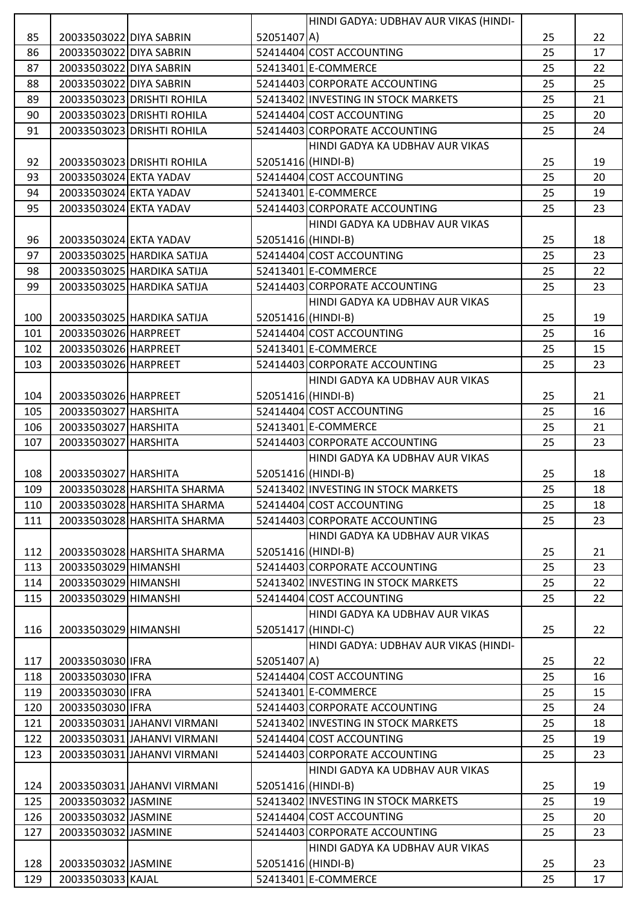|     |                         |                             |                    | HINDI GADYA: UDBHAV AUR VIKAS (HINDI- |    |    |
|-----|-------------------------|-----------------------------|--------------------|---------------------------------------|----|----|
| 85  | 20033503022 DIYA SABRIN |                             | 52051407 A)        |                                       | 25 | 22 |
| 86  | 20033503022 DIYA SABRIN |                             |                    | 52414404 COST ACCOUNTING              | 25 | 17 |
| 87  | 20033503022 DIYA SABRIN |                             |                    | 52413401 E-COMMERCE                   | 25 | 22 |
| 88  | 20033503022 DIYA SABRIN |                             |                    | 52414403 CORPORATE ACCOUNTING         | 25 | 25 |
| 89  |                         | 20033503023 DRISHTI ROHILA  |                    | 52413402 INVESTING IN STOCK MARKETS   | 25 | 21 |
| 90  |                         | 20033503023 DRISHTI ROHILA  |                    | 52414404 COST ACCOUNTING              | 25 | 20 |
| 91  |                         | 20033503023 DRISHTI ROHILA  |                    | 52414403 CORPORATE ACCOUNTING         | 25 | 24 |
|     |                         |                             |                    | HINDI GADYA KA UDBHAV AUR VIKAS       |    |    |
| 92  |                         | 20033503023 DRISHTI ROHILA  | 52051416 (HINDI-B) |                                       | 25 | 19 |
| 93  | 20033503024 EKTA YADAV  |                             |                    | 52414404 COST ACCOUNTING              | 25 | 20 |
| 94  | 20033503024 EKTA YADAV  |                             |                    | 52413401 E-COMMERCE                   | 25 | 19 |
| 95  | 20033503024 EKTA YADAV  |                             |                    | 52414403 CORPORATE ACCOUNTING         | 25 | 23 |
|     |                         |                             |                    | HINDI GADYA KA UDBHAV AUR VIKAS       |    |    |
| 96  | 20033503024 EKTA YADAV  |                             | 52051416 (HINDI-B) |                                       | 25 | 18 |
| 97  |                         | 20033503025 HARDIKA SATIJA  |                    | 52414404 COST ACCOUNTING              | 25 | 23 |
| 98  |                         | 20033503025 HARDIKA SATIJA  |                    | 52413401 E-COMMERCE                   | 25 | 22 |
| 99  |                         | 20033503025 HARDIKA SATIJA  |                    | 52414403 CORPORATE ACCOUNTING         | 25 | 23 |
|     |                         |                             |                    | HINDI GADYA KA UDBHAV AUR VIKAS       |    |    |
| 100 |                         | 20033503025 HARDIKA SATIJA  | 52051416 (HINDI-B) |                                       | 25 | 19 |
| 101 | 20033503026 HARPREET    |                             |                    | 52414404 COST ACCOUNTING              | 25 | 16 |
| 102 | 20033503026 HARPREET    |                             |                    | 52413401 E-COMMERCE                   | 25 | 15 |
| 103 | 20033503026 HARPREET    |                             |                    | 52414403 CORPORATE ACCOUNTING         | 25 | 23 |
|     |                         |                             |                    | HINDI GADYA KA UDBHAV AUR VIKAS       |    |    |
| 104 | 20033503026 HARPREET    |                             | 52051416 (HINDI-B) |                                       | 25 | 21 |
| 105 | 20033503027 HARSHITA    |                             |                    | 52414404 COST ACCOUNTING              | 25 | 16 |
| 106 | 20033503027 HARSHITA    |                             |                    | 52413401 E-COMMERCE                   | 25 | 21 |
| 107 | 20033503027 HARSHITA    |                             |                    | 52414403 CORPORATE ACCOUNTING         | 25 | 23 |
|     |                         |                             |                    | HINDI GADYA KA UDBHAV AUR VIKAS       |    |    |
| 108 | 20033503027 HARSHITA    |                             | 52051416 (HINDI-B) |                                       | 25 | 18 |
| 109 |                         | 20033503028 HARSHITA SHARMA |                    | 52413402 INVESTING IN STOCK MARKETS   | 25 | 18 |
| 110 |                         | 20033503028 HARSHITA SHARMA |                    | 52414404 COST ACCOUNTING              | 25 | 18 |
| 111 |                         | 20033503028 HARSHITA SHARMA |                    | 52414403 CORPORATE ACCOUNTING         | 25 | 23 |
|     |                         |                             |                    | HINDI GADYA KA UDBHAV AUR VIKAS       |    |    |
| 112 |                         | 20033503028 HARSHITA SHARMA | 52051416 (HINDI-B) |                                       | 25 | 21 |
| 113 | 20033503029 HIMANSHI    |                             |                    | 52414403 CORPORATE ACCOUNTING         | 25 | 23 |
| 114 | 20033503029 HIMANSHI    |                             |                    | 52413402 INVESTING IN STOCK MARKETS   | 25 | 22 |
| 115 | 20033503029 HIMANSHI    |                             |                    | 52414404 COST ACCOUNTING              | 25 | 22 |
|     |                         |                             |                    | HINDI GADYA KA UDBHAV AUR VIKAS       |    |    |
| 116 | 20033503029 HIMANSHI    |                             | 52051417 (HINDI-C) |                                       | 25 | 22 |
|     |                         |                             |                    | HINDI GADYA: UDBHAV AUR VIKAS (HINDI- |    |    |
| 117 | 20033503030 IFRA        |                             | 52051407 A)        |                                       | 25 | 22 |
| 118 | 20033503030 IFRA        |                             |                    | 52414404 COST ACCOUNTING              | 25 | 16 |
| 119 | 20033503030 IFRA        |                             |                    | 52413401 E-COMMERCE                   | 25 | 15 |
| 120 | 20033503030 IFRA        |                             |                    | 52414403 CORPORATE ACCOUNTING         | 25 | 24 |
| 121 |                         | 20033503031 JAHANVI VIRMANI |                    | 52413402 INVESTING IN STOCK MARKETS   | 25 | 18 |
| 122 |                         | 20033503031 JAHANVI VIRMANI |                    | 52414404 COST ACCOUNTING              | 25 | 19 |
| 123 |                         | 20033503031 JAHANVI VIRMANI |                    | 52414403 CORPORATE ACCOUNTING         | 25 | 23 |
|     |                         |                             |                    | HINDI GADYA KA UDBHAV AUR VIKAS       |    |    |
| 124 |                         | 20033503031 JAHANVI VIRMANI | 52051416 (HINDI-B) |                                       | 25 | 19 |
| 125 | 20033503032 JASMINE     |                             |                    | 52413402 INVESTING IN STOCK MARKETS   | 25 | 19 |
| 126 | 20033503032 JASMINE     |                             |                    | 52414404 COST ACCOUNTING              | 25 | 20 |
| 127 | 20033503032 JASMINE     |                             |                    | 52414403 CORPORATE ACCOUNTING         | 25 | 23 |
|     |                         |                             |                    | HINDI GADYA KA UDBHAV AUR VIKAS       |    |    |
| 128 | 20033503032 JASMINE     |                             | 52051416 (HINDI-B) |                                       | 25 | 23 |
|     |                         |                             |                    | 52413401 E-COMMERCE                   |    |    |
| 129 | 20033503033 KAJAL       |                             |                    |                                       | 25 | 17 |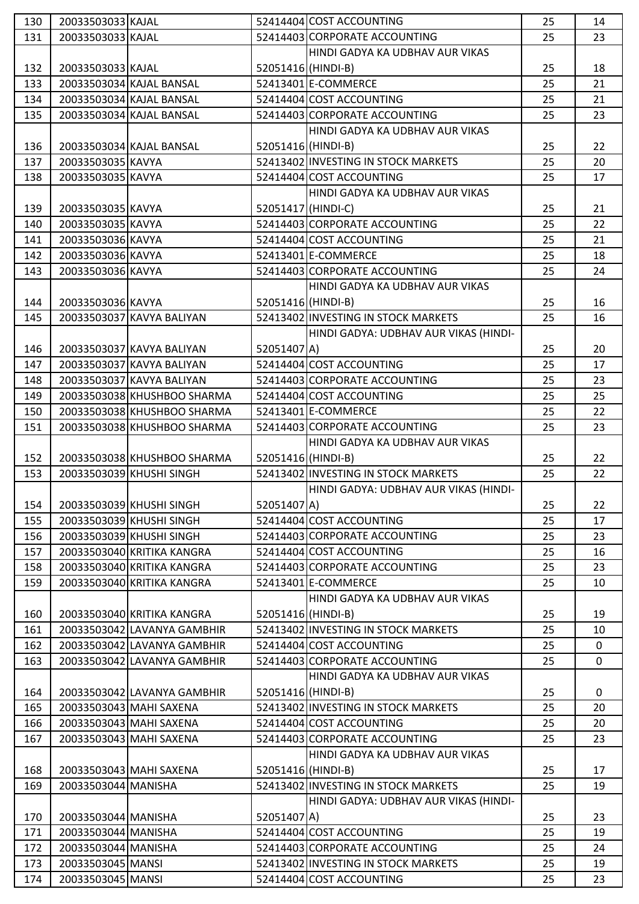| 130 | 20033503033 KAJAL   |                             |                    | 52414404 COST ACCOUNTING              | 25 | 14          |
|-----|---------------------|-----------------------------|--------------------|---------------------------------------|----|-------------|
| 131 | 20033503033 KAJAL   |                             |                    | 52414403 CORPORATE ACCOUNTING         | 25 | 23          |
|     |                     |                             |                    | HINDI GADYA KA UDBHAV AUR VIKAS       |    |             |
| 132 | 20033503033 KAJAL   |                             | 52051416 (HINDI-B) |                                       | 25 | 18          |
| 133 |                     | 20033503034 KAJAL BANSAL    |                    | 52413401 E-COMMERCE                   | 25 | 21          |
| 134 |                     | 20033503034 KAJAL BANSAL    |                    | 52414404 COST ACCOUNTING              | 25 | 21          |
| 135 |                     | 20033503034 KAJAL BANSAL    |                    | 52414403 CORPORATE ACCOUNTING         | 25 | 23          |
|     |                     |                             |                    | HINDI GADYA KA UDBHAV AUR VIKAS       |    |             |
| 136 |                     | 20033503034 KAJAL BANSAL    | 52051416 (HINDI-B) |                                       | 25 | 22          |
| 137 | 20033503035 KAVYA   |                             |                    | 52413402 INVESTING IN STOCK MARKETS   | 25 | 20          |
| 138 | 20033503035 KAVYA   |                             |                    | 52414404 COST ACCOUNTING              | 25 | 17          |
|     |                     |                             |                    | HINDI GADYA KA UDBHAV AUR VIKAS       |    |             |
| 139 | 20033503035 KAVYA   |                             | 52051417 (HINDI-C) |                                       | 25 | 21          |
| 140 | 20033503035 KAVYA   |                             |                    | 52414403 CORPORATE ACCOUNTING         | 25 | 22          |
| 141 | 20033503036 KAVYA   |                             |                    | 52414404 COST ACCOUNTING              | 25 | 21          |
| 142 | 20033503036 KAVYA   |                             |                    | 52413401 E-COMMERCE                   | 25 | 18          |
| 143 | 20033503036 KAVYA   |                             |                    | 52414403 CORPORATE ACCOUNTING         | 25 | 24          |
|     |                     |                             |                    | HINDI GADYA KA UDBHAV AUR VIKAS       |    |             |
| 144 | 20033503036 KAVYA   |                             | 52051416 (HINDI-B) |                                       | 25 | 16          |
| 145 |                     | 20033503037 KAVYA BALIYAN   |                    | 52413402 INVESTING IN STOCK MARKETS   | 25 | 16          |
|     |                     |                             |                    | HINDI GADYA: UDBHAV AUR VIKAS (HINDI- |    |             |
| 146 |                     | 20033503037 KAVYA BALIYAN   | 52051407 A)        |                                       | 25 | 20          |
| 147 |                     | 20033503037 KAVYA BALIYAN   |                    | 52414404 COST ACCOUNTING              | 25 | 17          |
| 148 |                     | 20033503037 KAVYA BALIYAN   |                    | 52414403 CORPORATE ACCOUNTING         | 25 | 23          |
| 149 |                     | 20033503038 KHUSHBOO SHARMA |                    | 52414404 COST ACCOUNTING              | 25 | 25          |
| 150 |                     | 20033503038 KHUSHBOO SHARMA |                    | 52413401 E-COMMERCE                   | 25 | 22          |
| 151 |                     | 20033503038 KHUSHBOO SHARMA |                    | 52414403 CORPORATE ACCOUNTING         | 25 | 23          |
|     |                     |                             |                    | HINDI GADYA KA UDBHAV AUR VIKAS       |    |             |
| 152 |                     | 20033503038 KHUSHBOO SHARMA | 52051416 (HINDI-B) |                                       | 25 | 22          |
| 153 |                     | 20033503039 KHUSHI SINGH    |                    | 52413402 INVESTING IN STOCK MARKETS   | 25 | 22          |
|     |                     |                             |                    |                                       |    |             |
| 154 |                     | 20033503039 KHUSHI SINGH    | 52051407 A)        | HINDI GADYA: UDBHAV AUR VIKAS (HINDI- | 25 | 22          |
| 155 |                     |                             |                    | 52414404 COST ACCOUNTING              | 25 |             |
|     |                     | 20033503039 KHUSHI SINGH    |                    | 52414403 CORPORATE ACCOUNTING         |    | 17          |
| 156 |                     | 20033503039 KHUSHI SINGH    |                    |                                       | 25 | 23          |
| 157 |                     | 20033503040 KRITIKA KANGRA  |                    | 52414404 COST ACCOUNTING              | 25 | 16          |
| 158 |                     | 20033503040 KRITIKA KANGRA  |                    | 52414403 CORPORATE ACCOUNTING         | 25 | 23          |
| 159 |                     | 20033503040 KRITIKA KANGRA  |                    | 52413401 E-COMMERCE                   | 25 | 10          |
|     |                     |                             |                    | HINDI GADYA KA UDBHAV AUR VIKAS       |    |             |
| 160 |                     | 20033503040 KRITIKA KANGRA  | 52051416 (HINDI-B) |                                       | 25 | 19          |
| 161 |                     | 20033503042 LAVANYA GAMBHIR |                    | 52413402 INVESTING IN STOCK MARKETS   | 25 | 10          |
| 162 |                     | 20033503042 LAVANYA GAMBHIR |                    | 52414404 COST ACCOUNTING              | 25 | 0           |
| 163 |                     | 20033503042 LAVANYA GAMBHIR |                    | 52414403 CORPORATE ACCOUNTING         | 25 | $\mathbf 0$ |
|     |                     |                             |                    | HINDI GADYA KA UDBHAV AUR VIKAS       |    |             |
| 164 |                     | 20033503042 LAVANYA GAMBHIR | 52051416 (HINDI-B) |                                       | 25 | 0           |
| 165 |                     | 20033503043 MAHI SAXENA     |                    | 52413402 INVESTING IN STOCK MARKETS   | 25 | 20          |
| 166 |                     | 20033503043 MAHI SAXENA     |                    | 52414404 COST ACCOUNTING              | 25 | 20          |
| 167 |                     | 20033503043 MAHI SAXENA     |                    | 52414403 CORPORATE ACCOUNTING         | 25 | 23          |
|     |                     |                             |                    | HINDI GADYA KA UDBHAV AUR VIKAS       |    |             |
| 168 |                     | 20033503043 MAHI SAXENA     | 52051416 (HINDI-B) |                                       | 25 | 17          |
| 169 | 20033503044 MANISHA |                             |                    | 52413402 INVESTING IN STOCK MARKETS   | 25 | 19          |
|     |                     |                             |                    | HINDI GADYA: UDBHAV AUR VIKAS (HINDI- |    |             |
| 170 | 20033503044 MANISHA |                             | 52051407 A)        |                                       | 25 | 23          |
| 171 | 20033503044 MANISHA |                             |                    | 52414404 COST ACCOUNTING              | 25 | 19          |
| 172 | 20033503044 MANISHA |                             |                    | 52414403 CORPORATE ACCOUNTING         | 25 | 24          |
| 173 | 20033503045 MANSI   |                             |                    | 52413402 INVESTING IN STOCK MARKETS   | 25 | 19          |
| 174 | 20033503045 MANSI   |                             |                    | 52414404 COST ACCOUNTING              | 25 | 23          |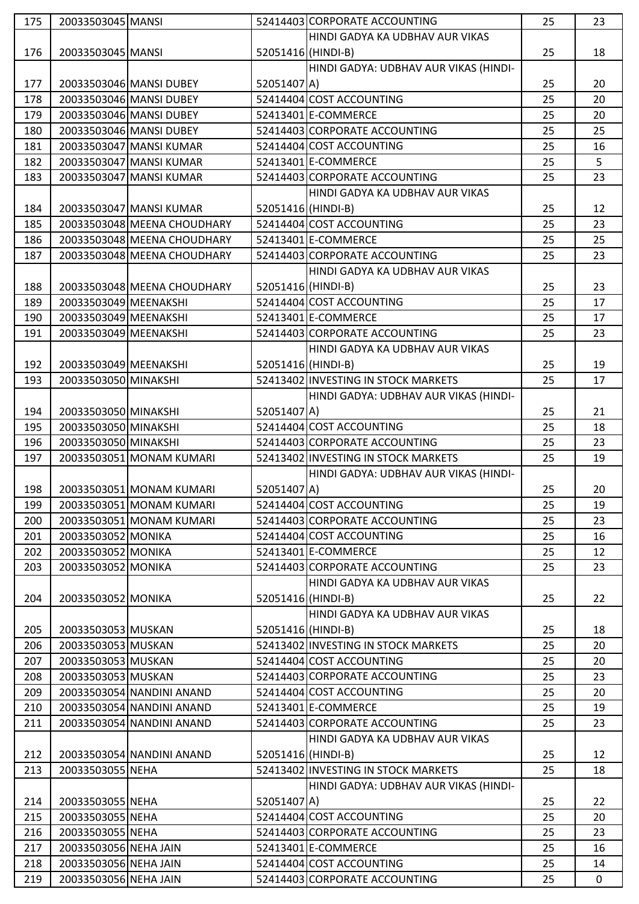| 175 | 20033503045 MANSI     |                             |                    | 52414403 CORPORATE ACCOUNTING         | 25 | 23             |
|-----|-----------------------|-----------------------------|--------------------|---------------------------------------|----|----------------|
|     |                       |                             |                    | HINDI GADYA KA UDBHAV AUR VIKAS       |    |                |
| 176 | 20033503045 MANSI     |                             | 52051416 (HINDI-B) |                                       | 25 | 18             |
|     |                       |                             |                    | HINDI GADYA: UDBHAV AUR VIKAS (HINDI- |    |                |
| 177 |                       | 20033503046 MANSI DUBEY     | 52051407 A)        |                                       | 25 | 20             |
| 178 |                       | 20033503046 MANSI DUBEY     |                    | 52414404 COST ACCOUNTING              | 25 | 20             |
| 179 |                       | 20033503046 MANSI DUBEY     |                    | 52413401 E-COMMERCE                   | 25 | 20             |
| 180 |                       | 20033503046 MANSI DUBEY     |                    | 52414403 CORPORATE ACCOUNTING         | 25 | 25             |
| 181 |                       | 20033503047 MANSI KUMAR     |                    | 52414404 COST ACCOUNTING              | 25 | 16             |
| 182 |                       | 20033503047 MANSI KUMAR     |                    | 52413401 E-COMMERCE                   | 25 | 5 <sup>1</sup> |
| 183 |                       | 20033503047 MANSI KUMAR     |                    | 52414403 CORPORATE ACCOUNTING         | 25 | 23             |
|     |                       |                             |                    |                                       |    |                |
|     |                       |                             |                    | HINDI GADYA KA UDBHAV AUR VIKAS       |    |                |
| 184 |                       | 20033503047 MANSI KUMAR     | 52051416 (HINDI-B) |                                       | 25 | 12             |
| 185 |                       | 20033503048 MEENA CHOUDHARY |                    | 52414404 COST ACCOUNTING              | 25 | 23             |
| 186 |                       | 20033503048 MEENA CHOUDHARY |                    | 52413401 E-COMMERCE                   | 25 | 25             |
| 187 |                       | 20033503048 MEENA CHOUDHARY |                    | 52414403 CORPORATE ACCOUNTING         | 25 | 23             |
|     |                       |                             |                    | HINDI GADYA KA UDBHAV AUR VIKAS       |    |                |
| 188 |                       | 20033503048 MEENA CHOUDHARY | 52051416 (HINDI-B) |                                       | 25 | 23             |
| 189 | 20033503049 MEENAKSHI |                             |                    | 52414404 COST ACCOUNTING              | 25 | 17             |
| 190 | 20033503049 MEENAKSHI |                             |                    | 52413401 E-COMMERCE                   | 25 | 17             |
| 191 | 20033503049 MEENAKSHI |                             |                    | 52414403 CORPORATE ACCOUNTING         | 25 | 23             |
|     |                       |                             |                    | HINDI GADYA KA UDBHAV AUR VIKAS       |    |                |
| 192 | 20033503049 MEENAKSHI |                             | 52051416 (HINDI-B) |                                       | 25 | 19             |
| 193 | 20033503050 MINAKSHI  |                             |                    | 52413402 INVESTING IN STOCK MARKETS   | 25 | 17             |
|     |                       |                             |                    | HINDI GADYA: UDBHAV AUR VIKAS (HINDI- |    |                |
| 194 | 20033503050 MINAKSHI  |                             | 52051407 A)        |                                       | 25 | 21             |
| 195 | 20033503050 MINAKSHI  |                             |                    | 52414404 COST ACCOUNTING              | 25 | 18             |
| 196 | 20033503050 MINAKSHI  |                             |                    | 52414403 CORPORATE ACCOUNTING         | 25 | 23             |
| 197 |                       | 20033503051 MONAM KUMARI    |                    | 52413402 INVESTING IN STOCK MARKETS   | 25 | 19             |
|     |                       |                             |                    | HINDI GADYA: UDBHAV AUR VIKAS (HINDI- |    |                |
| 198 |                       | 20033503051 MONAM KUMARI    | 52051407 A)        |                                       | 25 | 20             |
| 199 |                       | 20033503051 MONAM KUMARI    |                    | 52414404 COST ACCOUNTING              | 25 | 19             |
| 200 |                       | 20033503051 MONAM KUMARI    |                    | 52414403 CORPORATE ACCOUNTING         | 25 | 23             |
| 201 | 20033503052 MONIKA    |                             |                    | 52414404 COST ACCOUNTING              | 25 | 16             |
| 202 | 20033503052 MONIKA    |                             |                    | 52413401 E-COMMERCE                   | 25 | 12             |
| 203 | 20033503052 MONIKA    |                             |                    | 52414403 CORPORATE ACCOUNTING         | 25 | 23             |
|     |                       |                             |                    | HINDI GADYA KA UDBHAV AUR VIKAS       |    |                |
|     |                       |                             |                    |                                       |    |                |
| 204 | 20033503052 MONIKA    |                             | 52051416 (HINDI-B) |                                       | 25 | 22             |
|     |                       |                             |                    | HINDI GADYA KA UDBHAV AUR VIKAS       |    |                |
| 205 | 20033503053 MUSKAN    |                             | 52051416 (HINDI-B) |                                       | 25 | 18             |
| 206 | 20033503053 MUSKAN    |                             |                    | 52413402 INVESTING IN STOCK MARKETS   | 25 | 20             |
| 207 | 20033503053 MUSKAN    |                             |                    | 52414404 COST ACCOUNTING              | 25 | 20             |
| 208 | 20033503053 MUSKAN    |                             |                    | 52414403 CORPORATE ACCOUNTING         | 25 | 23             |
| 209 |                       | 20033503054 NANDINI ANAND   |                    | 52414404 COST ACCOUNTING              | 25 | 20             |
| 210 |                       | 20033503054 NANDINI ANAND   |                    | 52413401 E-COMMERCE                   | 25 | 19             |
| 211 |                       | 20033503054 NANDINI ANAND   |                    | 52414403 CORPORATE ACCOUNTING         | 25 | 23             |
|     |                       |                             |                    | HINDI GADYA KA UDBHAV AUR VIKAS       |    |                |
| 212 |                       | 20033503054 NANDINI ANAND   | 52051416 (HINDI-B) |                                       | 25 | 12             |
| 213 | 20033503055 NEHA      |                             |                    | 52413402 INVESTING IN STOCK MARKETS   | 25 | 18             |
|     |                       |                             |                    | HINDI GADYA: UDBHAV AUR VIKAS (HINDI- |    |                |
| 214 | 20033503055 NEHA      |                             | 52051407 A)        |                                       | 25 | 22             |
| 215 | 20033503055 NEHA      |                             |                    | 52414404 COST ACCOUNTING              | 25 | 20             |
| 216 | 20033503055 NEHA      |                             |                    | 52414403 CORPORATE ACCOUNTING         | 25 | 23             |
| 217 | 20033503056 NEHA JAIN |                             |                    | 52413401 E-COMMERCE                   | 25 | 16             |
| 218 | 20033503056 NEHA JAIN |                             |                    | 52414404 COST ACCOUNTING              | 25 | 14             |
|     |                       |                             |                    |                                       |    |                |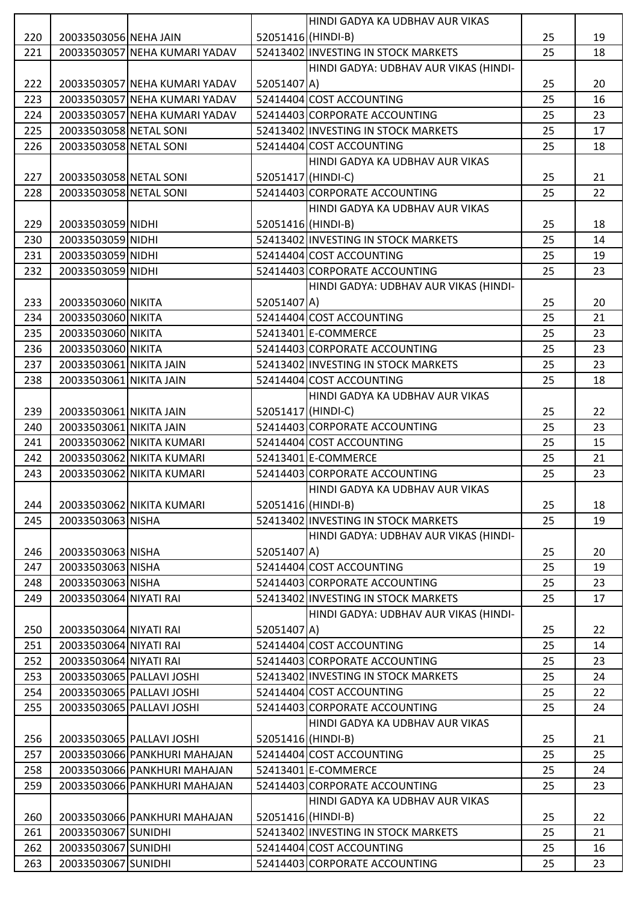|     |                         |                               |                    | HINDI GADYA KA UDBHAV AUR VIKAS       |    |    |
|-----|-------------------------|-------------------------------|--------------------|---------------------------------------|----|----|
| 220 | 20033503056 NEHA JAIN   |                               | 52051416 (HINDI-B) |                                       | 25 | 19 |
| 221 |                         | 20033503057 NEHA KUMARI YADAV |                    | 52413402 INVESTING IN STOCK MARKETS   | 25 | 18 |
|     |                         |                               |                    | HINDI GADYA: UDBHAV AUR VIKAS (HINDI- |    |    |
| 222 |                         | 20033503057 NEHA KUMARI YADAV | 52051407 A)        |                                       | 25 | 20 |
| 223 |                         | 20033503057 NEHA KUMARI YADAV |                    | 52414404 COST ACCOUNTING              | 25 | 16 |
| 224 |                         | 20033503057 NEHA KUMARI YADAV |                    | 52414403 CORPORATE ACCOUNTING         | 25 | 23 |
| 225 | 20033503058 NETAL SONI  |                               |                    | 52413402 INVESTING IN STOCK MARKETS   | 25 | 17 |
| 226 | 20033503058 NETAL SONI  |                               |                    | 52414404 COST ACCOUNTING              | 25 | 18 |
|     |                         |                               |                    | HINDI GADYA KA UDBHAV AUR VIKAS       |    |    |
| 227 | 20033503058 NETAL SONI  |                               | 52051417 (HINDI-C) |                                       | 25 | 21 |
| 228 | 20033503058 NETAL SONI  |                               |                    | 52414403 CORPORATE ACCOUNTING         | 25 | 22 |
|     |                         |                               |                    | HINDI GADYA KA UDBHAV AUR VIKAS       |    |    |
| 229 | 20033503059 NIDHI       |                               | 52051416 (HINDI-B) |                                       | 25 | 18 |
| 230 | 20033503059 NIDHI       |                               |                    | 52413402 INVESTING IN STOCK MARKETS   | 25 | 14 |
| 231 | 20033503059 NIDHI       |                               |                    | 52414404 COST ACCOUNTING              | 25 | 19 |
| 232 | 20033503059 NIDHI       |                               |                    | 52414403 CORPORATE ACCOUNTING         | 25 | 23 |
|     |                         |                               |                    | HINDI GADYA: UDBHAV AUR VIKAS (HINDI- |    |    |
| 233 | 20033503060 NIKITA      |                               | 52051407 A)        |                                       | 25 | 20 |
| 234 | 20033503060 NIKITA      |                               |                    | 52414404 COST ACCOUNTING              | 25 | 21 |
| 235 | 20033503060 NIKITA      |                               |                    | 52413401 E-COMMERCE                   | 25 | 23 |
| 236 | 20033503060 NIKITA      |                               |                    | 52414403 CORPORATE ACCOUNTING         | 25 | 23 |
| 237 | 20033503061 NIKITA JAIN |                               |                    | 52413402 INVESTING IN STOCK MARKETS   | 25 | 23 |
| 238 | 20033503061 NIKITA JAIN |                               |                    | 52414404 COST ACCOUNTING              | 25 | 18 |
|     |                         |                               |                    | HINDI GADYA KA UDBHAV AUR VIKAS       |    |    |
| 239 | 20033503061 NIKITA JAIN |                               | 52051417 (HINDI-C) |                                       | 25 | 22 |
| 240 | 20033503061 NIKITA JAIN |                               |                    | 52414403 CORPORATE ACCOUNTING         | 25 | 23 |
| 241 |                         | 20033503062 NIKITA KUMARI     |                    | 52414404 COST ACCOUNTING              | 25 | 15 |
| 242 |                         | 20033503062 NIKITA KUMARI     |                    | 52413401 E-COMMERCE                   | 25 | 21 |
| 243 |                         | 20033503062 NIKITA KUMARI     |                    | 52414403 CORPORATE ACCOUNTING         | 25 | 23 |
|     |                         |                               |                    | HINDI GADYA KA UDBHAV AUR VIKAS       |    |    |
| 244 |                         | 20033503062 NIKITA KUMARI     | 52051416 (HINDI-B) |                                       | 25 | 18 |
| 245 | 20033503063 NISHA       |                               |                    | 52413402 INVESTING IN STOCK MARKETS   | 25 | 19 |
|     |                         |                               |                    | HINDI GADYA: UDBHAV AUR VIKAS (HINDI- |    |    |
| 246 | 20033503063 NISHA       |                               | 52051407 A)        |                                       | 25 | 20 |
| 247 | 20033503063 NISHA       |                               |                    | 52414404 COST ACCOUNTING              | 25 | 19 |
| 248 | 20033503063 NISHA       |                               |                    | 52414403 CORPORATE ACCOUNTING         | 25 | 23 |
| 249 | 20033503064 NIYATI RAI  |                               |                    | 52413402 INVESTING IN STOCK MARKETS   | 25 | 17 |
|     |                         |                               |                    | HINDI GADYA: UDBHAV AUR VIKAS (HINDI- |    |    |
| 250 | 20033503064 NIYATI RAI  |                               | 52051407 A)        |                                       | 25 | 22 |
| 251 | 20033503064 NIYATI RAI  |                               |                    | 52414404 COST ACCOUNTING              | 25 | 14 |
| 252 | 20033503064 NIYATI RAI  |                               |                    | 52414403 CORPORATE ACCOUNTING         | 25 | 23 |
| 253 |                         | 20033503065 PALLAVI JOSHI     |                    | 52413402 INVESTING IN STOCK MARKETS   | 25 | 24 |
| 254 |                         | 20033503065 PALLAVI JOSHI     |                    | 52414404 COST ACCOUNTING              | 25 | 22 |
| 255 |                         | 20033503065 PALLAVI JOSHI     |                    | 52414403 CORPORATE ACCOUNTING         | 25 | 24 |
|     |                         |                               |                    | HINDI GADYA KA UDBHAV AUR VIKAS       |    |    |
| 256 |                         | 20033503065 PALLAVI JOSHI     | 52051416 (HINDI-B) |                                       | 25 | 21 |
| 257 |                         | 20033503066 PANKHURI MAHAJAN  |                    | 52414404 COST ACCOUNTING              | 25 | 25 |
| 258 |                         | 20033503066 PANKHURI MAHAJAN  |                    | 52413401 E-COMMERCE                   | 25 | 24 |
| 259 |                         | 20033503066 PANKHURI MAHAJAN  |                    | 52414403 CORPORATE ACCOUNTING         | 25 | 23 |
|     |                         |                               |                    | HINDI GADYA KA UDBHAV AUR VIKAS       |    |    |
| 260 |                         | 20033503066 PANKHURI MAHAJAN  | 52051416 (HINDI-B) |                                       | 25 | 22 |
| 261 | 20033503067 SUNIDHI     |                               |                    | 52413402 INVESTING IN STOCK MARKETS   | 25 | 21 |
| 262 | 20033503067 SUNIDHI     |                               |                    | 52414404 COST ACCOUNTING              | 25 | 16 |
| 263 | 20033503067 SUNIDHI     |                               |                    | 52414403 CORPORATE ACCOUNTING         | 25 | 23 |
|     |                         |                               |                    |                                       |    |    |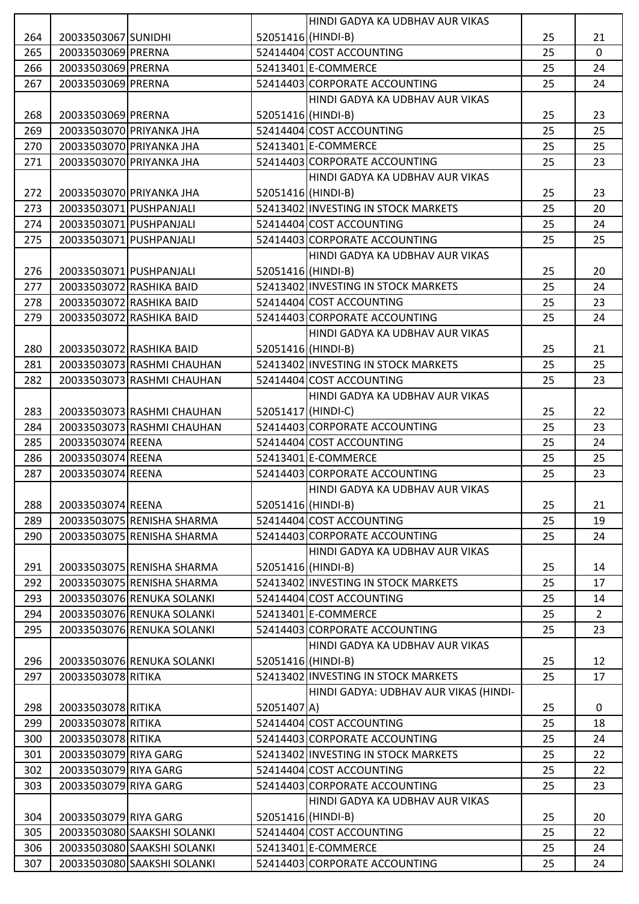|     |                         |                             |                    | HINDI GADYA KA UDBHAV AUR VIKAS       |    |                |
|-----|-------------------------|-----------------------------|--------------------|---------------------------------------|----|----------------|
| 264 | 20033503067 SUNIDHI     |                             | 52051416 (HINDI-B) |                                       | 25 | 21             |
| 265 | 20033503069 PRERNA      |                             |                    | 52414404 COST ACCOUNTING              | 25 | $\mathbf 0$    |
| 266 | 20033503069 PRERNA      |                             |                    | 52413401 E-COMMERCE                   | 25 | 24             |
| 267 | 20033503069 PRERNA      |                             |                    | 52414403 CORPORATE ACCOUNTING         | 25 | 24             |
|     |                         |                             |                    | HINDI GADYA KA UDBHAV AUR VIKAS       |    |                |
| 268 | 20033503069 PRERNA      |                             | 52051416 (HINDI-B) |                                       | 25 | 23             |
| 269 |                         | 20033503070 PRIYANKA JHA    |                    | 52414404 COST ACCOUNTING              | 25 | 25             |
| 270 |                         | 20033503070 PRIYANKA JHA    |                    | 52413401 E-COMMERCE                   | 25 | 25             |
| 271 |                         | 20033503070 PRIYANKA JHA    |                    | 52414403 CORPORATE ACCOUNTING         | 25 | 23             |
|     |                         |                             |                    | HINDI GADYA KA UDBHAV AUR VIKAS       |    |                |
| 272 |                         | 20033503070 PRIYANKA JHA    | 52051416 (HINDI-B) |                                       | 25 | 23             |
| 273 | 20033503071 PUSHPANJALI |                             |                    | 52413402 INVESTING IN STOCK MARKETS   | 25 | 20             |
| 274 |                         | 20033503071 PUSHPANJALI     |                    | 52414404 COST ACCOUNTING              | 25 | 24             |
| 275 | 20033503071 PUSHPANJALI |                             |                    | 52414403 CORPORATE ACCOUNTING         | 25 | 25             |
|     |                         |                             |                    | HINDI GADYA KA UDBHAV AUR VIKAS       |    |                |
| 276 | 20033503071 PUSHPANJALI |                             | 52051416 (HINDI-B) |                                       | 25 | 20             |
| 277 |                         | 20033503072 RASHIKA BAID    |                    | 52413402 INVESTING IN STOCK MARKETS   | 25 | 24             |
| 278 |                         | 20033503072 RASHIKA BAID    |                    | 52414404 COST ACCOUNTING              | 25 | 23             |
| 279 |                         | 20033503072 RASHIKA BAID    |                    | 52414403 CORPORATE ACCOUNTING         | 25 | 24             |
|     |                         |                             |                    | HINDI GADYA KA UDBHAV AUR VIKAS       |    |                |
| 280 |                         | 20033503072 RASHIKA BAID    | 52051416 (HINDI-B) |                                       | 25 | 21             |
| 281 |                         | 20033503073 RASHMI CHAUHAN  |                    | 52413402 INVESTING IN STOCK MARKETS   | 25 | 25             |
| 282 |                         | 20033503073 RASHMI CHAUHAN  |                    | 52414404 COST ACCOUNTING              | 25 | 23             |
|     |                         |                             |                    | HINDI GADYA KA UDBHAV AUR VIKAS       |    |                |
| 283 |                         | 20033503073 RASHMI CHAUHAN  | 52051417 (HINDI-C) |                                       | 25 | 22             |
| 284 |                         | 20033503073 RASHMI CHAUHAN  |                    | 52414403 CORPORATE ACCOUNTING         | 25 | 23             |
| 285 | 20033503074 REENA       |                             |                    | 52414404 COST ACCOUNTING              | 25 | 24             |
| 286 | 20033503074 REENA       |                             |                    | 52413401 E-COMMERCE                   | 25 | 25             |
| 287 | 20033503074 REENA       |                             |                    | 52414403 CORPORATE ACCOUNTING         | 25 | 23             |
|     |                         |                             |                    | HINDI GADYA KA UDBHAV AUR VIKAS       |    |                |
| 288 | 20033503074 REENA       |                             | 52051416 (HINDI-B) |                                       | 25 | 21             |
| 289 |                         | 20033503075 RENISHA SHARMA  |                    | 52414404 COST ACCOUNTING              | 25 | 19             |
| 290 |                         | 20033503075 RENISHA SHARMA  |                    | 52414403 CORPORATE ACCOUNTING         | 25 | 24             |
|     |                         |                             |                    | HINDI GADYA KA UDBHAV AUR VIKAS       |    |                |
| 291 |                         | 20033503075 RENISHA SHARMA  | 52051416 (HINDI-B) |                                       | 25 | 14             |
| 292 |                         | 20033503075 RENISHA SHARMA  |                    | 52413402 INVESTING IN STOCK MARKETS   | 25 | 17             |
| 293 |                         | 20033503076 RENUKA SOLANKI  |                    | 52414404 COST ACCOUNTING              | 25 | 14             |
| 294 |                         | 20033503076 RENUKA SOLANKI  |                    | 52413401 E-COMMERCE                   | 25 | $\overline{2}$ |
| 295 |                         | 20033503076 RENUKA SOLANKI  |                    | 52414403 CORPORATE ACCOUNTING         | 25 | 23             |
|     |                         |                             |                    | HINDI GADYA KA UDBHAV AUR VIKAS       |    |                |
| 296 |                         | 20033503076 RENUKA SOLANKI  | 52051416 (HINDI-B) |                                       | 25 | 12             |
| 297 | 20033503078 RITIKA      |                             |                    | 52413402 INVESTING IN STOCK MARKETS   | 25 | 17             |
|     |                         |                             |                    | HINDI GADYA: UDBHAV AUR VIKAS (HINDI- |    |                |
| 298 | 20033503078 RITIKA      |                             | 52051407 A)        |                                       | 25 | 0              |
| 299 | 20033503078 RITIKA      |                             |                    | 52414404 COST ACCOUNTING              | 25 | 18             |
| 300 | 20033503078 RITIKA      |                             |                    | 52414403 CORPORATE ACCOUNTING         | 25 | 24             |
| 301 | 20033503079 RIYA GARG   |                             |                    | 52413402 INVESTING IN STOCK MARKETS   | 25 | 22             |
| 302 | 20033503079 RIYA GARG   |                             |                    | 52414404 COST ACCOUNTING              | 25 | 22             |
| 303 | 20033503079 RIYA GARG   |                             |                    | 52414403 CORPORATE ACCOUNTING         | 25 | 23             |
|     |                         |                             |                    | HINDI GADYA KA UDBHAV AUR VIKAS       |    |                |
| 304 | 20033503079 RIYA GARG   |                             | 52051416 (HINDI-B) |                                       | 25 | 20             |
| 305 |                         | 20033503080 SAAKSHI SOLANKI |                    | 52414404 COST ACCOUNTING              | 25 | 22             |
| 306 |                         | 20033503080 SAAKSHI SOLANKI |                    | 52413401 E-COMMERCE                   | 25 | 24             |
| 307 |                         | 20033503080 SAAKSHI SOLANKI |                    | 52414403 CORPORATE ACCOUNTING         | 25 | 24             |
|     |                         |                             |                    |                                       |    |                |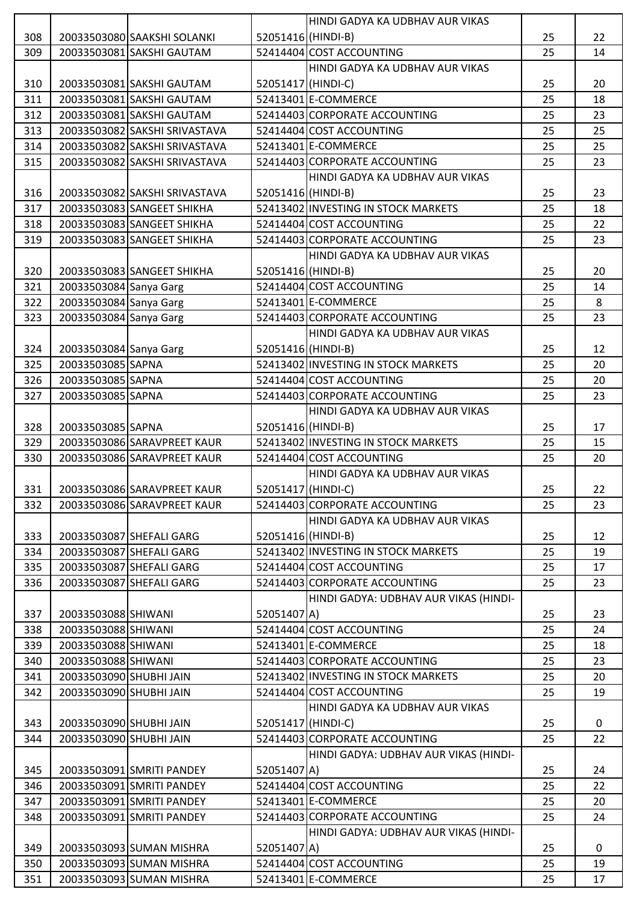|     |                         |                               |                    | HINDI GADYA KA UDBHAV AUR VIKAS       |    |    |
|-----|-------------------------|-------------------------------|--------------------|---------------------------------------|----|----|
| 308 |                         | 20033503080 SAAKSHI SOLANKI   | 52051416 (HINDI-B) |                                       | 25 | 22 |
| 309 |                         | 20033503081 SAKSHI GAUTAM     |                    | 52414404 COST ACCOUNTING              | 25 | 14 |
|     |                         |                               |                    | HINDI GADYA KA UDBHAV AUR VIKAS       |    |    |
| 310 |                         | 20033503081 SAKSHI GAUTAM     | 52051417 (HINDI-C) |                                       | 25 | 20 |
| 311 |                         | 20033503081 SAKSHI GAUTAM     |                    | 52413401 E-COMMERCE                   | 25 | 18 |
| 312 |                         | 20033503081 SAKSHI GAUTAM     |                    | 52414403 CORPORATE ACCOUNTING         | 25 | 23 |
| 313 |                         | 20033503082 SAKSHI SRIVASTAVA |                    | 52414404 COST ACCOUNTING              | 25 | 25 |
| 314 |                         | 20033503082 SAKSHI SRIVASTAVA |                    | 52413401 E-COMMERCE                   | 25 | 25 |
| 315 |                         | 20033503082 SAKSHI SRIVASTAVA |                    | 52414403 CORPORATE ACCOUNTING         | 25 | 23 |
|     |                         |                               |                    | HINDI GADYA KA UDBHAV AUR VIKAS       |    |    |
| 316 |                         | 20033503082 SAKSHI SRIVASTAVA | 52051416 (HINDI-B) |                                       | 25 | 23 |
| 317 |                         | 20033503083 SANGEET SHIKHA    |                    | 52413402 INVESTING IN STOCK MARKETS   | 25 | 18 |
| 318 |                         | 20033503083 SANGEET SHIKHA    |                    | 52414404 COST ACCOUNTING              | 25 | 22 |
| 319 |                         | 20033503083 SANGEET SHIKHA    |                    | 52414403 CORPORATE ACCOUNTING         | 25 | 23 |
|     |                         |                               |                    | HINDI GADYA KA UDBHAV AUR VIKAS       |    |    |
| 320 |                         | 20033503083 SANGEET SHIKHA    | 52051416 (HINDI-B) |                                       | 25 | 20 |
| 321 | 20033503084 Sanya Garg  |                               |                    | 52414404 COST ACCOUNTING              | 25 | 14 |
| 322 | 20033503084 Sanya Garg  |                               |                    | 52413401 E-COMMERCE                   | 25 | 8  |
| 323 | 20033503084 Sanya Garg  |                               |                    | 52414403 CORPORATE ACCOUNTING         | 25 | 23 |
|     |                         |                               |                    | HINDI GADYA KA UDBHAV AUR VIKAS       |    |    |
| 324 | 20033503084 Sanya Garg  |                               | 52051416 (HINDI-B) |                                       | 25 | 12 |
| 325 | 20033503085 SAPNA       |                               |                    | 52413402 INVESTING IN STOCK MARKETS   | 25 | 20 |
| 326 | 20033503085 SAPNA       |                               |                    | 52414404 COST ACCOUNTING              | 25 | 20 |
| 327 | 20033503085 SAPNA       |                               |                    | 52414403 CORPORATE ACCOUNTING         | 25 | 23 |
|     |                         |                               |                    | HINDI GADYA KA UDBHAV AUR VIKAS       |    |    |
| 328 | 20033503085 SAPNA       |                               | 52051416 (HINDI-B) |                                       | 25 | 17 |
| 329 |                         | 20033503086 SARAVPREET KAUR   |                    | 52413402 INVESTING IN STOCK MARKETS   | 25 | 15 |
| 330 |                         | 20033503086 SARAVPREET KAUR   |                    | 52414404 COST ACCOUNTING              | 25 | 20 |
|     |                         |                               |                    | HINDI GADYA KA UDBHAV AUR VIKAS       |    |    |
| 331 |                         | 20033503086 SARAVPREET KAUR   | 52051417 (HINDI-C) |                                       | 25 | 22 |
| 332 |                         | 20033503086 SARAVPREET KAUR   |                    | 52414403 CORPORATE ACCOUNTING         | 25 | 23 |
|     |                         |                               |                    | HINDI GADYA KA UDBHAV AUR VIKAS       |    |    |
| 333 |                         | 20033503087 SHEFALI GARG      | 52051416 (HINDI-B) |                                       | 25 | 12 |
| 334 |                         | 20033503087 SHEFALI GARG      |                    | 52413402 INVESTING IN STOCK MARKETS   | 25 | 19 |
| 335 |                         | 20033503087 SHEFALI GARG      |                    | 52414404 COST ACCOUNTING              | 25 | 17 |
| 336 |                         | 20033503087 SHEFALI GARG      |                    | 52414403 CORPORATE ACCOUNTING         | 25 | 23 |
|     |                         |                               |                    | HINDI GADYA: UDBHAV AUR VIKAS (HINDI- |    |    |
| 337 | 20033503088 SHIWANI     |                               | 52051407 A)        |                                       | 25 | 23 |
| 338 | 20033503088 SHIWANI     |                               |                    | 52414404 COST ACCOUNTING              | 25 | 24 |
| 339 | 20033503088 SHIWANI     |                               |                    | 52413401 E-COMMERCE                   | 25 | 18 |
| 340 | 20033503088 SHIWANI     |                               |                    | 52414403 CORPORATE ACCOUNTING         | 25 | 23 |
| 341 | 20033503090 SHUBHI JAIN |                               |                    | 52413402 INVESTING IN STOCK MARKETS   | 25 | 20 |
| 342 | 20033503090 SHUBHI JAIN |                               |                    | 52414404 COST ACCOUNTING              | 25 | 19 |
|     |                         |                               |                    | HINDI GADYA KA UDBHAV AUR VIKAS       |    |    |
| 343 | 20033503090 SHUBHI JAIN |                               | 52051417 (HINDI-C) |                                       | 25 | 0  |
| 344 | 20033503090 SHUBHI JAIN |                               |                    | 52414403 CORPORATE ACCOUNTING         | 25 | 22 |
|     |                         |                               |                    | HINDI GADYA: UDBHAV AUR VIKAS (HINDI- |    |    |
| 345 |                         | 20033503091 SMRITI PANDEY     | 52051407 A)        |                                       | 25 | 24 |
| 346 |                         | 20033503091 SMRITI PANDEY     |                    | 52414404 COST ACCOUNTING              | 25 | 22 |
| 347 |                         | 20033503091 SMRITI PANDEY     |                    | 52413401 E-COMMERCE                   | 25 | 20 |
| 348 |                         | 20033503091 SMRITI PANDEY     |                    | 52414403 CORPORATE ACCOUNTING         | 25 | 24 |
|     |                         |                               |                    | HINDI GADYA: UDBHAV AUR VIKAS (HINDI- |    |    |
| 349 |                         | 20033503093 SUMAN MISHRA      | 52051407 A)        |                                       | 25 | 0  |
| 350 |                         | 20033503093 SUMAN MISHRA      |                    | 52414404 COST ACCOUNTING              | 25 | 19 |
| 351 |                         | 20033503093 SUMAN MISHRA      |                    | 52413401 E-COMMERCE                   | 25 | 17 |
|     |                         |                               |                    |                                       |    |    |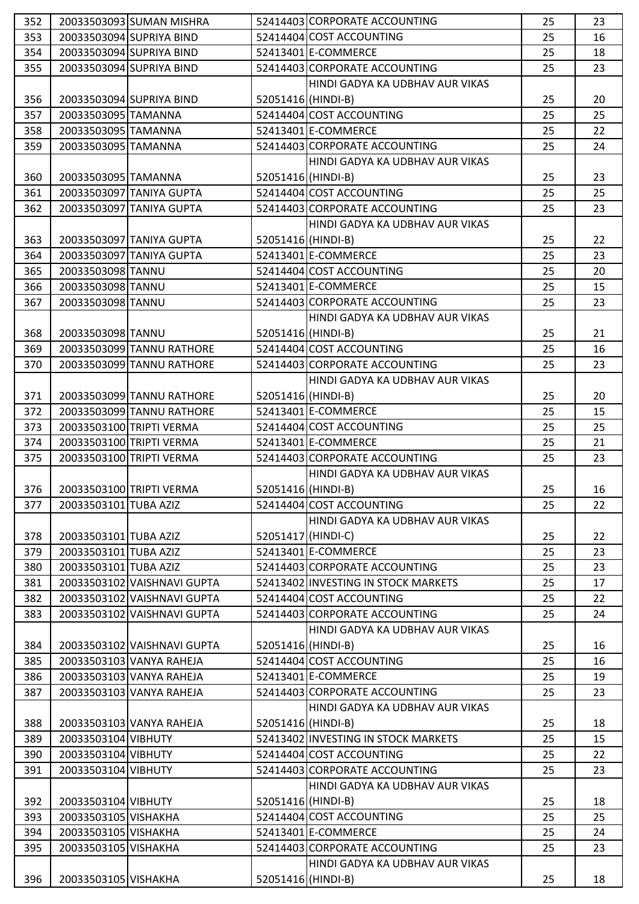| 352 |                       | 20033503093 SUMAN MISHRA    |                    | 52414403 CORPORATE ACCOUNTING       | 25 | 23 |
|-----|-----------------------|-----------------------------|--------------------|-------------------------------------|----|----|
| 353 |                       | 20033503094 SUPRIYA BIND    |                    | 52414404 COST ACCOUNTING            | 25 | 16 |
| 354 |                       | 20033503094 SUPRIYA BIND    |                    | 52413401 E-COMMERCE                 | 25 | 18 |
| 355 |                       | 20033503094 SUPRIYA BIND    |                    | 52414403 CORPORATE ACCOUNTING       | 25 | 23 |
|     |                       |                             |                    | HINDI GADYA KA UDBHAV AUR VIKAS     |    |    |
| 356 |                       | 20033503094 SUPRIYA BIND    | 52051416 (HINDI-B) |                                     | 25 | 20 |
| 357 | 20033503095 TAMANNA   |                             |                    | 52414404 COST ACCOUNTING            | 25 | 25 |
| 358 | 20033503095 TAMANNA   |                             |                    | 52413401 E-COMMERCE                 | 25 | 22 |
| 359 | 20033503095 TAMANNA   |                             |                    | 52414403 CORPORATE ACCOUNTING       | 25 | 24 |
|     |                       |                             |                    | HINDI GADYA KA UDBHAV AUR VIKAS     |    |    |
| 360 | 20033503095 TAMANNA   |                             | 52051416 (HINDI-B) |                                     | 25 | 23 |
| 361 |                       | 20033503097 TANIYA GUPTA    |                    | 52414404 COST ACCOUNTING            | 25 | 25 |
| 362 |                       | 20033503097 TANIYA GUPTA    |                    | 52414403 CORPORATE ACCOUNTING       | 25 | 23 |
|     |                       |                             |                    | HINDI GADYA KA UDBHAV AUR VIKAS     |    |    |
|     |                       |                             | 52051416 (HINDI-B) |                                     |    |    |
| 363 |                       | 20033503097 TANIYA GUPTA    |                    |                                     | 25 | 22 |
| 364 |                       | 20033503097 TANIYA GUPTA    |                    | 52413401 E-COMMERCE                 | 25 | 23 |
| 365 | 20033503098 TANNU     |                             |                    | 52414404 COST ACCOUNTING            | 25 | 20 |
| 366 | 20033503098 TANNU     |                             |                    | 52413401 E-COMMERCE                 | 25 | 15 |
| 367 | 20033503098 TANNU     |                             |                    | 52414403 CORPORATE ACCOUNTING       | 25 | 23 |
|     |                       |                             |                    | HINDI GADYA KA UDBHAV AUR VIKAS     |    |    |
| 368 | 20033503098 TANNU     |                             | 52051416 (HINDI-B) |                                     | 25 | 21 |
| 369 |                       | 20033503099 TANNU RATHORE   |                    | 52414404 COST ACCOUNTING            | 25 | 16 |
| 370 |                       | 20033503099 TANNU RATHORE   |                    | 52414403 CORPORATE ACCOUNTING       | 25 | 23 |
|     |                       |                             |                    | HINDI GADYA KA UDBHAV AUR VIKAS     |    |    |
| 371 |                       | 20033503099 TANNU RATHORE   | 52051416 (HINDI-B) |                                     | 25 | 20 |
| 372 |                       | 20033503099 TANNU RATHORE   |                    | 52413401 E-COMMERCE                 | 25 | 15 |
| 373 |                       | 20033503100 TRIPTI VERMA    |                    | 52414404 COST ACCOUNTING            | 25 | 25 |
| 374 |                       | 20033503100 TRIPTI VERMA    |                    | 52413401 E-COMMERCE                 | 25 | 21 |
| 375 |                       | 20033503100 TRIPTI VERMA    |                    | 52414403 CORPORATE ACCOUNTING       | 25 | 23 |
|     |                       |                             |                    | HINDI GADYA KA UDBHAV AUR VIKAS     |    |    |
| 376 |                       | 20033503100 TRIPTI VERMA    | 52051416 (HINDI-B) |                                     | 25 | 16 |
| 377 | 20033503101 TUBA AZIZ |                             |                    | 52414404 COST ACCOUNTING            | 25 | 22 |
|     |                       |                             |                    | HINDI GADYA KA UDBHAV AUR VIKAS     |    |    |
| 378 | 20033503101 TUBA AZIZ |                             | 52051417 (HINDI-C) |                                     | 25 | 22 |
| 379 | 20033503101 TUBA AZIZ |                             |                    | 52413401 E-COMMERCE                 | 25 | 23 |
| 380 | 20033503101 TUBA AZIZ |                             |                    | 52414403 CORPORATE ACCOUNTING       | 25 | 23 |
| 381 |                       | 20033503102 VAISHNAVI GUPTA |                    | 52413402 INVESTING IN STOCK MARKETS | 25 | 17 |
| 382 |                       | 20033503102 VAISHNAVI GUPTA |                    | 52414404 COST ACCOUNTING            | 25 | 22 |
| 383 |                       | 20033503102 VAISHNAVI GUPTA |                    | 52414403 CORPORATE ACCOUNTING       | 25 | 24 |
|     |                       |                             |                    | HINDI GADYA KA UDBHAV AUR VIKAS     |    |    |
| 384 |                       | 20033503102 VAISHNAVI GUPTA | 52051416 (HINDI-B) |                                     | 25 | 16 |
| 385 |                       | 20033503103 VANYA RAHEJA    |                    | 52414404 COST ACCOUNTING            | 25 | 16 |
| 386 |                       | 20033503103 VANYA RAHEJA    |                    | 52413401 E-COMMERCE                 | 25 | 19 |
| 387 |                       | 20033503103 VANYA RAHEJA    |                    | 52414403 CORPORATE ACCOUNTING       | 25 | 23 |
|     |                       |                             |                    | HINDI GADYA KA UDBHAV AUR VIKAS     |    |    |
| 388 |                       |                             | 52051416 (HINDI-B) |                                     | 25 | 18 |
|     |                       | 20033503103 VANYA RAHEJA    |                    |                                     |    |    |
| 389 | 20033503104 VIBHUTY   |                             |                    | 52413402 INVESTING IN STOCK MARKETS | 25 | 15 |
| 390 | 20033503104 VIBHUTY   |                             |                    | 52414404 COST ACCOUNTING            | 25 | 22 |
| 391 | 20033503104 VIBHUTY   |                             |                    | 52414403 CORPORATE ACCOUNTING       | 25 | 23 |
|     |                       |                             |                    | HINDI GADYA KA UDBHAV AUR VIKAS     |    |    |
| 392 | 20033503104 VIBHUTY   |                             | 52051416 (HINDI-B) |                                     | 25 | 18 |
| 393 | 20033503105 VISHAKHA  |                             |                    | 52414404 COST ACCOUNTING            | 25 | 25 |
| 394 | 20033503105 VISHAKHA  |                             |                    | 52413401 E-COMMERCE                 | 25 | 24 |
| 395 | 20033503105 VISHAKHA  |                             |                    | 52414403 CORPORATE ACCOUNTING       | 25 | 23 |
|     |                       |                             |                    | HINDI GADYA KA UDBHAV AUR VIKAS     |    |    |
| 396 | 20033503105 VISHAKHA  |                             | 52051416(HINDI-B)  |                                     | 25 | 18 |